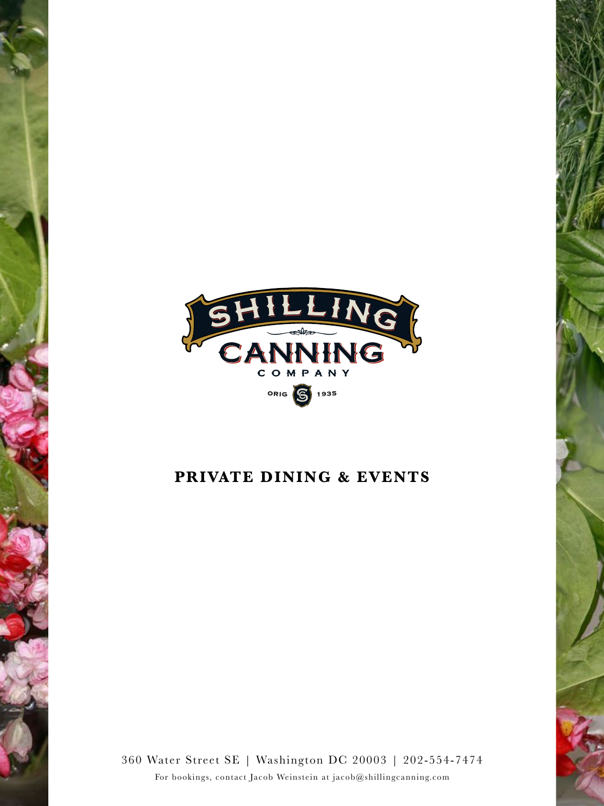

# **PRIVATE DINING & EVENTS**

360 Water Street SE | Washington DC 20003 | 202-554-7474 For bookings, contact Jacob Weinstein at jacob@shillingcanning.com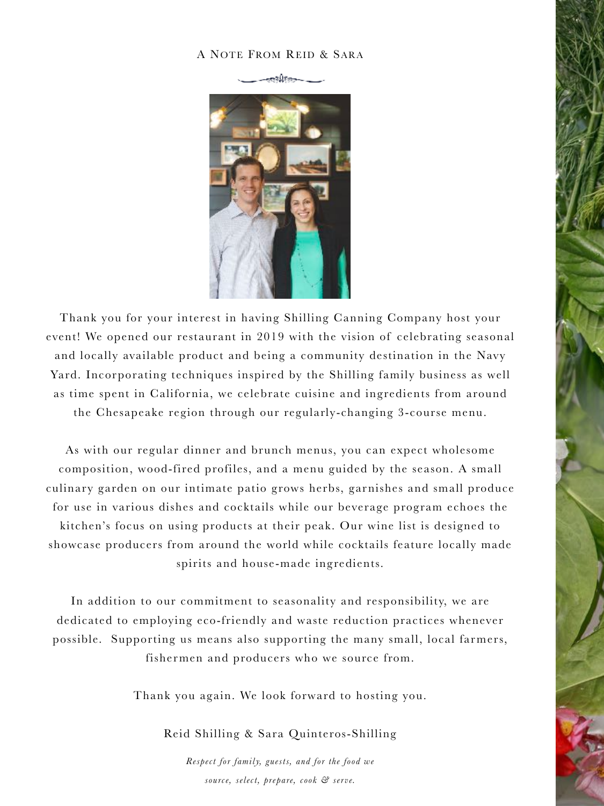# A NOTE FROM REID & SARA



Thank you for your interest in having Shilling Canning Company host your event! We opened our restaurant in 2019 with the vision of celebrating seasonal and locally available product and being a community destination in the Navy Yard. Incorporating techniques inspired by the Shilling family business as well as time spent in California, we celebrate cuisine and ingredients from around the Chesapeake region through our regularly-changing 3-course menu.

As with our regular dinner and brunch menus, you can expect wholesome composition, wood-fired profiles, and a menu guided by the season. A small culinary garden on our intimate patio grows herbs, garnishes and small produce for use in various dishes and cocktails while our beverage program echoes the kitchen's focus on using products at their peak. Our wine list is designed to showcase producers from around the world while cocktails feature locally made spirits and house-made ingredients.

In addition to our commitment to seasonality and responsibility, we are dedicated to employing eco-friendly and waste reduction practices whenever possible. Supporting us means also supporting the many small, local farmers, fishermen and producers who we source from.

Thank you again. We look forward to hosting you.

Reid Shilling & Sara Quinteros-Shilling

*Respect for family, guests, and for the food we source, select, prepare, cook & serve.*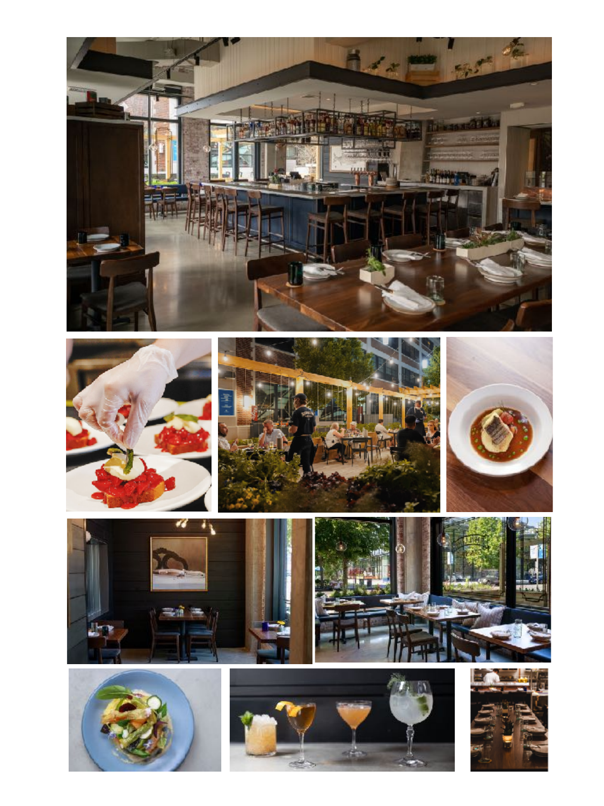













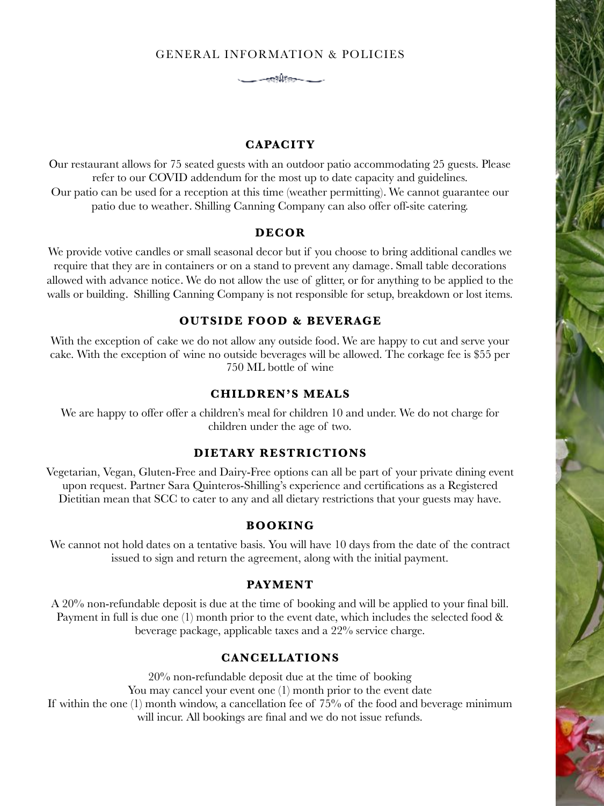# GENERAL INFORMATION & POLICIES

 $\frac{1}{2}$ 

# **CAPACITY**

Our restaurant allows for 75 seated guests with an outdoor patio accommodating 25 guests. Please refer to our COVID addendum for the most up to date capacity and guidelines. Our patio can be used for a reception at this time (weather permitting). We cannot guarantee our patio due to weather. Shilling Canning Company can also offer off-site catering.

# **DECOR**

We provide votive candles or small seasonal decor but if you choose to bring additional candles we require that they are in containers or on a stand to prevent any damage. Small table decorations allowed with advance notice. We do not allow the use of glitter, or for anything to be applied to the walls or building. Shilling Canning Company is not responsible for setup, breakdown or lost items.

# **OUTSIDE FOOD & BEVERAGE**

With the exception of cake we do not allow any outside food. We are happy to cut and serve your cake. With the exception of wine no outside beverages will be allowed. The corkage fee is \$55 per 750 ML bottle of wine

# **CHILDREN'S MEALS**

We are happy to offer offer a children's meal for children 10 and under. We do not charge for children under the age of two.

# **DIETARY RESTRICTIONS**

Vegetarian, Vegan, Gluten-Free and Dairy-Free options can all be part of your private dining event upon request. Partner Sara Quinteros-Shilling's experience and certifications as a Registered Dietitian mean that SCC to cater to any and all dietary restrictions that your guests may have.

#### **BOOKING**

We cannot not hold dates on a tentative basis. You will have 10 days from the date of the contract issued to sign and return the agreement, along with the initial payment.

# **PAYMENT**

A 20% non-refundable deposit is due at the time of booking and will be applied to your final bill. Payment in full is due one (1) month prior to the event date, which includes the selected food & beverage package, applicable taxes and a 22% service charge.

# **CANCELLATIONS**

20% non-refundable deposit due at the time of booking You may cancel your event one (1) month prior to the event date If within the one (1) month window, a cancellation fee of 75% of the food and beverage minimum will incur. All bookings are final and we do not issue refunds.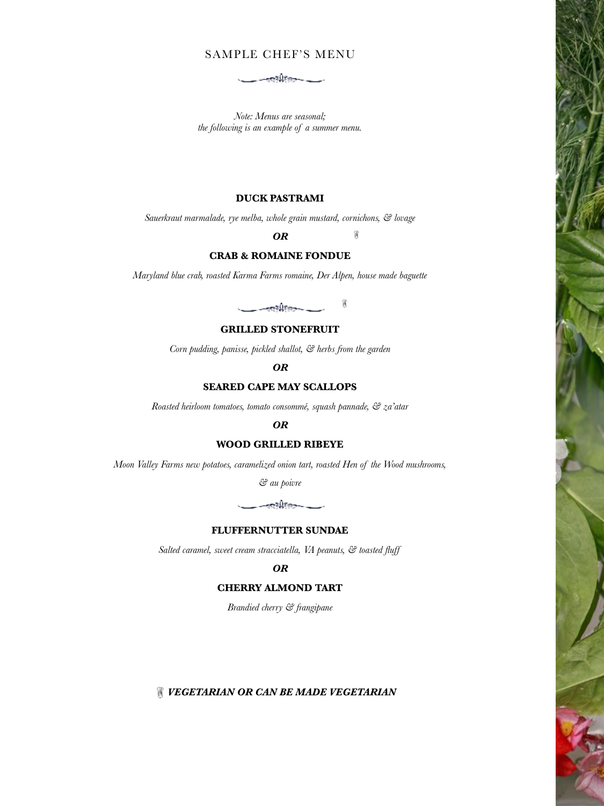### SAMPLE CHEF'S MENU

erðilser-.

#### *Note: Menus are seasonal; the following is an example of a summer menu.*

#### **DUCK PASTRAMI**

*Sauerkraut marmalade, rye melba, whole grain mustard, cornichons, & lovage* 

*OR* 

K

#### **CRAB & ROMAINE FONDUE**

*Maryland blue crab, roasted Karma Farms romaine, Der Alpen, house made baguette*

Ñ resilvan

### **GRILLED STONEFRUIT**

*Corn pudding, panisse, pickled shallot, & herbs from the garden* 

*OR* 

#### **SEARED CAPE MAY SCALLOPS**

*Roasted heirloom tomatoes, tomato consommé, squash pannade, & za'atar* 

*OR* 

#### **WOOD GRILLED RIBEYE**

*Moon Valley Farms new potatoes, caramelized onion tart, roasted Hen of the Wood mushrooms,* 

*& au poivre*

- <del>- a</del>sika- - - - - -

#### **FLUFFERNUTTER SUNDAE**

*Salted caramel, sweet cream stracciatella, VA peanuts, & toasted fluff* 

*OR* 

#### **CHERRY ALMOND TART**

*Brandied cherry & frangipane*

#### *VEGETARIAN OR CAN BE MADE VEGETARIAN*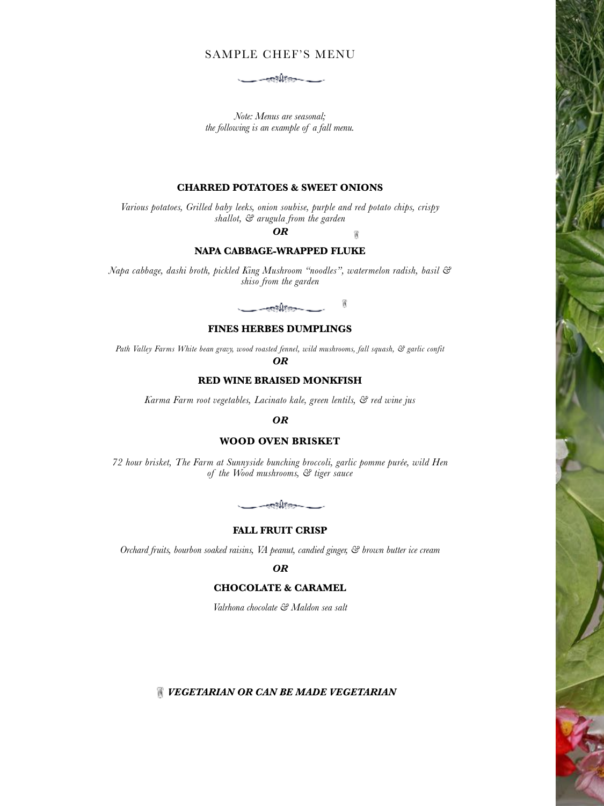# SAMPLE CHEF'S MENU

ອະໄດ້ອອ

*Note: Menus are seasonal; the following is an example of a fall menu.* 

#### **CHARRED POTATOES & SWEET ONIONS**

*Various potatoes, Grilled baby leeks, onion soubise, purple and red potato chips, crispy shallot, & arugula from the garden* 

*OR* 

W

#### **NAPA CABBAGE-WRAPPED FLUKE**

*Napa cabbage, dashi broth, pickled King Mushroom "noodles", watermelon radish, basil & shiso from the garden*



#### **FINES HERBES DUMPLINGS**

*Path Valley Farms White bean gravy, wood roasted fennel, wild mushrooms, fall squash, & garlic confit OR* 

**RED WINE BRAISED MONKFISH** 

*Karma Farm root vegetables, Lacinato kale, green lentils, & red wine jus* 

*OR* 

#### **WOOD OVEN BRISKET**

*72 hour brisket, The Farm at Sunnyside bunching broccoli, garlic pomme purée, wild Hen of the Wood mushrooms, & tiger sauce*

ಣಾ‱್=−

#### **FALL FRUIT CRISP**

*Orchard fruits, bourbon soaked raisins, VA peanut, candied ginger, & brown butter ice cream* 

*OR* 

#### **CHOCOLATE & CARAMEL**

*Valrhona chocolate & Maldon sea salt*

*VEGETARIAN OR CAN BE MADE VEGETARIAN*